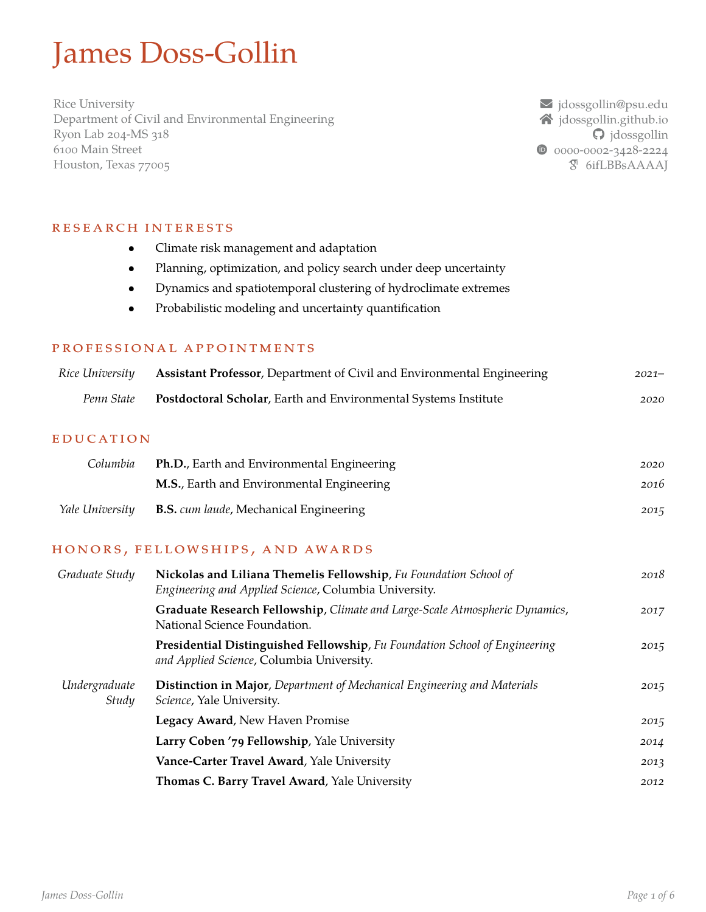# James Doss-Gollin

Rice University Department of Civil and Environmental Engineering Ryon Lab 204-MS 318 6100 Main Street Houston, Texas 77005

å [jdossgollin@psu.edu](mailto:jdossgollin@psu.edu)  $\triangle$  [jdossgollin.github.io](https://jdossgollin.github.io)  $\Theta$  [jdossgollin](https://github.com/jdossgollin) 0 [0000-0002-3428-2224](https://orcid.org/0000-0002-3428-2224)  $\overline{S}$  [6ifLBBsAAAAJ](https://scholar.google.com/citations?user=6ifLBBsAAAAJ)

### RESEARCH INTERESTS

- *•* Climate risk management and adaptation
- *•* Planning, optimization, and policy search under deep uncertainty
- *•* Dynamics and spatiotemporal clustering of hydroclimate extremes
- *•* Probabilistic modeling and uncertainty quantification

#### PROFESSIONAL APPOINTMENTS

| Rice University | <b>Assistant Professor, Department of Civil and Environmental Engineering</b> | $2021 -$ |
|-----------------|-------------------------------------------------------------------------------|----------|
| Penn State      | <b>Postdoctoral Scholar, Earth and Environmental Systems Institute</b>        | 2020     |

#### **EDUCATION**

| <b>Ph.D.</b> , Earth and Environmental Engineering<br>Columbia |                                                   | 2020 |
|----------------------------------------------------------------|---------------------------------------------------|------|
|                                                                | <b>M.S.</b> , Earth and Environmental Engineering | 2016 |
| Yale University                                                | <b>B.S.</b> cum laude, Mechanical Engineering     | 2015 |

#### HONORS, FELLOWSHIPS, AND AWARDS

| Graduate Study         | Nickolas and Liliana Themelis Fellowship, Fu Foundation School of<br>Engineering and Applied Science, Columbia University. | 2018 |
|------------------------|----------------------------------------------------------------------------------------------------------------------------|------|
|                        | Graduate Research Fellowship, Climate and Large-Scale Atmospheric Dynamics,<br>National Science Foundation.                | 2017 |
|                        | Presidential Distinguished Fellowship, Fu Foundation School of Engineering<br>and Applied Science, Columbia University.    | 2015 |
| Undergraduate<br>Study | <b>Distinction in Major</b> , Department of Mechanical Engineering and Materials<br>Science, Yale University.              | 2015 |
|                        | Legacy Award, New Haven Promise                                                                                            | 2015 |
|                        | Larry Coben '79 Fellowship, Yale University                                                                                | 2014 |
|                        | Vance-Carter Travel Award, Yale University                                                                                 | 2013 |
|                        | Thomas C. Barry Travel Award, Yale University                                                                              | 2012 |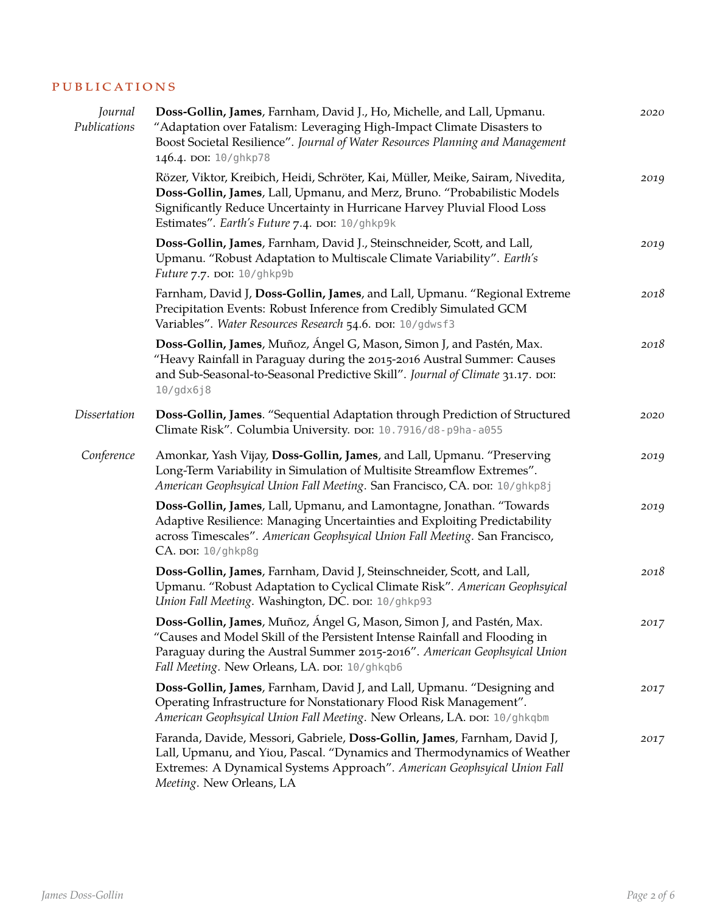#### PUBLICATIONS

| Journal<br>Publications | Doss-Gollin, James, Farnham, David J., Ho, Michelle, and Lall, Upmanu.<br>"Adaptation over Fatalism: Leveraging High-Impact Climate Disasters to<br>Boost Societal Resilience". Journal of Water Resources Planning and Management<br>146.4. DOI: 10/ghkp78                              | 2020 |
|-------------------------|------------------------------------------------------------------------------------------------------------------------------------------------------------------------------------------------------------------------------------------------------------------------------------------|------|
|                         | Rözer, Viktor, Kreibich, Heidi, Schröter, Kai, Müller, Meike, Sairam, Nivedita,<br>Doss-Gollin, James, Lall, Upmanu, and Merz, Bruno. "Probabilistic Models<br>Significantly Reduce Uncertainty in Hurricane Harvey Pluvial Flood Loss<br>Estimates". Earth's Future 7.4. DOI: 10/ghkp9k | 2019 |
|                         | Doss-Gollin, James, Farnham, David J., Steinschneider, Scott, and Lall,<br>Upmanu. "Robust Adaptation to Multiscale Climate Variability". Earth's<br>Future 7.7. DOI: 10/ghkp9b                                                                                                          | 2019 |
|                         | Farnham, David J, Doss-Gollin, James, and Lall, Upmanu. "Regional Extreme<br>Precipitation Events: Robust Inference from Credibly Simulated GCM<br>Variables". Water Resources Research 54.6. DOI: 10/gdwsf3                                                                             | 2018 |
|                         | Doss-Gollin, James, Muñoz, Ángel G, Mason, Simon J, and Pastén, Max.<br>"Heavy Rainfall in Paraguay during the 2015-2016 Austral Summer: Causes<br>and Sub-Seasonal-to-Seasonal Predictive Skill". Journal of Climate 31.17. DOI:<br>10/gdx6j8                                           | 2018 |
| <b>Dissertation</b>     | Doss-Gollin, James. "Sequential Adaptation through Prediction of Structured<br>Climate Risk". Columbia University. por: 10.7916/d8-p9ha-a055                                                                                                                                             | 2020 |
| Conference              | Amonkar, Yash Vijay, Doss-Gollin, James, and Lall, Upmanu. "Preserving<br>Long-Term Variability in Simulation of Multisite Streamflow Extremes".<br>American Geophsyical Union Fall Meeting. San Francisco, CA. DOI: 10/ghkp8j                                                           | 2019 |
|                         | Doss-Gollin, James, Lall, Upmanu, and Lamontagne, Jonathan. "Towards<br>Adaptive Resilience: Managing Uncertainties and Exploiting Predictability<br>across Timescales". American Geophsyical Union Fall Meeting. San Francisco,<br>CA. por: 10/ghkp8g                                   | 2019 |
|                         | Doss-Gollin, James, Farnham, David J, Steinschneider, Scott, and Lall,<br>Upmanu. "Robust Adaptation to Cyclical Climate Risk". American Geophsyical<br>Union Fall Meeting. Washington, DC. DOI: 10/ghkp93                                                                               | 2018 |
|                         | Doss-Gollin, James, Muñoz, Ángel G, Mason, Simon J, and Pastén, Max.<br>"Causes and Model Skill of the Persistent Intense Rainfall and Flooding in<br>Paraguay during the Austral Summer 2015-2016". American Geophsyical Union<br>Fall Meeting. New Orleans, LA. DOI: 10/ghkqb6         | 2017 |
|                         | Doss-Gollin, James, Farnham, David J, and Lall, Upmanu. "Designing and<br>Operating Infrastructure for Nonstationary Flood Risk Management".<br>American Geophsyical Union Fall Meeting. New Orleans, LA. DOI: 10/ghkqbm                                                                 | 2017 |
|                         | Faranda, Davide, Messori, Gabriele, Doss-Gollin, James, Farnham, David J,<br>Lall, Upmanu, and Yiou, Pascal. "Dynamics and Thermodynamics of Weather<br>Extremes: A Dynamical Systems Approach". American Geophsyical Union Fall<br>Meeting. New Orleans, LA                             | 2017 |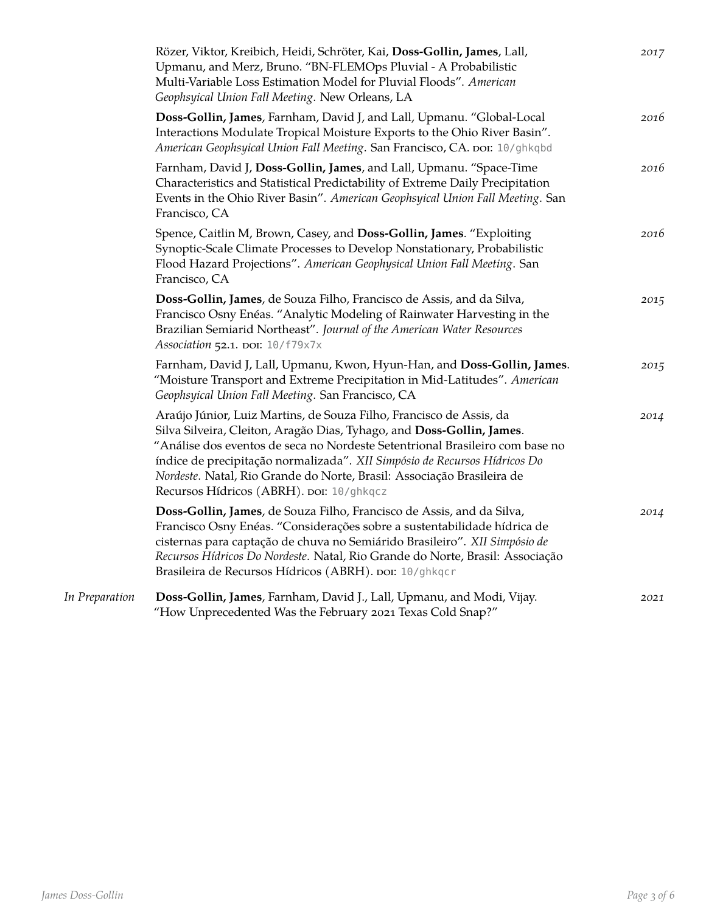|                | Rözer, Viktor, Kreibich, Heidi, Schröter, Kai, Doss-Gollin, James, Lall,<br>Upmanu, and Merz, Bruno. "BN-FLEMOps Pluvial - A Probabilistic<br>Multi-Variable Loss Estimation Model for Pluvial Floods". American<br>Geophsyical Union Fall Meeting. New Orleans, LA                                                                                                                                                             | 2017 |
|----------------|---------------------------------------------------------------------------------------------------------------------------------------------------------------------------------------------------------------------------------------------------------------------------------------------------------------------------------------------------------------------------------------------------------------------------------|------|
|                | Doss-Gollin, James, Farnham, David J, and Lall, Upmanu. "Global-Local<br>Interactions Modulate Tropical Moisture Exports to the Ohio River Basin".<br>American Geophsyical Union Fall Meeting. San Francisco, CA. DOI: 10/ghkqbd                                                                                                                                                                                                | 2016 |
|                | Farnham, David J, Doss-Gollin, James, and Lall, Upmanu. "Space-Time<br>Characteristics and Statistical Predictability of Extreme Daily Precipitation<br>Events in the Ohio River Basin". American Geophsyical Union Fall Meeting. San<br>Francisco, CA                                                                                                                                                                          | 2016 |
|                | Spence, Caitlin M, Brown, Casey, and Doss-Gollin, James. "Exploiting<br>Synoptic-Scale Climate Processes to Develop Nonstationary, Probabilistic<br>Flood Hazard Projections". American Geophysical Union Fall Meeting. San<br>Francisco, CA                                                                                                                                                                                    | 2016 |
|                | Doss-Gollin, James, de Souza Filho, Francisco de Assis, and da Silva,<br>Francisco Osny Enéas. "Analytic Modeling of Rainwater Harvesting in the<br>Brazilian Semiarid Northeast". Journal of the American Water Resources<br>Association 52.1. DOI: 10/f79x7x                                                                                                                                                                  | 2015 |
|                | Farnham, David J, Lall, Upmanu, Kwon, Hyun-Han, and Doss-Gollin, James.<br>"Moisture Transport and Extreme Precipitation in Mid-Latitudes". American<br>Geophsyical Union Fall Meeting. San Francisco, CA                                                                                                                                                                                                                       | 2015 |
|                | Araújo Júnior, Luiz Martins, de Souza Filho, Francisco de Assis, da<br>Silva Silveira, Cleiton, Aragão Dias, Tyhago, and Doss-Gollin, James.<br>"Análise dos eventos de seca no Nordeste Setentrional Brasileiro com base no<br>índice de precipitação normalizada". XII Simpósio de Recursos Hídricos Do<br>Nordeste. Natal, Rio Grande do Norte, Brasil: Associação Brasileira de<br>Recursos Hídricos (ABRH). DOI: 10/ghkqcz | 2014 |
|                | Doss-Gollin, James, de Souza Filho, Francisco de Assis, and da Silva,<br>Francisco Osny Enéas. "Considerações sobre a sustentabilidade hídrica de<br>cisternas para captação de chuva no Semiárido Brasileiro". XII Simpósio de<br>Recursos Hídricos Do Nordeste. Natal, Rio Grande do Norte, Brasil: Associação<br>Brasileira de Recursos Hídricos (ABRH). DOI: 10/ghkqcr                                                      | 2014 |
| In Preparation | Doss-Gollin, James, Farnham, David J., Lall, Upmanu, and Modi, Vijay.<br>"How Unprecedented Was the February 2021 Texas Cold Snap?"                                                                                                                                                                                                                                                                                             | 2021 |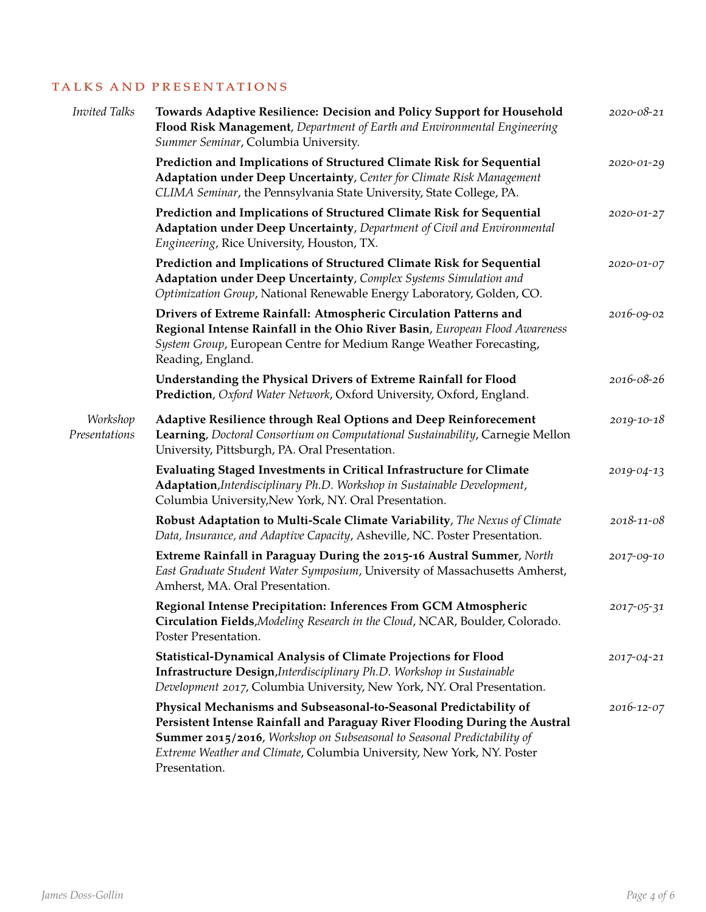## TALKS AND PRESENTATIONS

| <b>Invited Talks</b>      | Towards Adaptive Resilience: Decision and Policy Support for Household<br>Flood Risk Management, Department of Earth and Environmental Engineering<br>Summer Seminar, Columbia University.                                                                                                                            | 2020-08-21 |
|---------------------------|-----------------------------------------------------------------------------------------------------------------------------------------------------------------------------------------------------------------------------------------------------------------------------------------------------------------------|------------|
|                           | Prediction and Implications of Structured Climate Risk for Sequential<br>Adaptation under Deep Uncertainty, Center for Climate Risk Management<br>CLIMA Seminar, the Pennsylvania State University, State College, PA.                                                                                                | 2020-01-29 |
|                           | Prediction and Implications of Structured Climate Risk for Sequential<br>Adaptation under Deep Uncertainty, Department of Civil and Environmental<br>Engineering, Rice University, Houston, TX.                                                                                                                       | 2020-01-27 |
|                           | Prediction and Implications of Structured Climate Risk for Sequential<br>Adaptation under Deep Uncertainty, Complex Systems Simulation and<br>Optimization Group, National Renewable Energy Laboratory, Golden, CO.                                                                                                   | 2020-01-07 |
|                           | Drivers of Extreme Rainfall: Atmospheric Circulation Patterns and<br>Regional Intense Rainfall in the Ohio River Basin, European Flood Awareness<br>System Group, European Centre for Medium Range Weather Forecasting,<br>Reading, England.                                                                          | 2016-09-02 |
|                           | Understanding the Physical Drivers of Extreme Rainfall for Flood<br>Prediction, Oxford Water Network, Oxford University, Oxford, England.                                                                                                                                                                             | 2016-08-26 |
| Workshop<br>Presentations | Adaptive Resilience through Real Options and Deep Reinforecement<br>Learning, Doctoral Consortium on Computational Sustainability, Carnegie Mellon<br>University, Pittsburgh, PA. Oral Presentation.                                                                                                                  | 2019-10-18 |
|                           | Evaluating Staged Investments in Critical Infrastructure for Climate<br>Adaptation, Interdisciplinary Ph.D. Workshop in Sustainable Development,<br>Columbia University, New York, NY. Oral Presentation.                                                                                                             | 2019-04-13 |
|                           | Robust Adaptation to Multi-Scale Climate Variability, The Nexus of Climate<br>Data, Insurance, and Adaptive Capacity, Asheville, NC. Poster Presentation.                                                                                                                                                             | 2018-11-08 |
|                           | Extreme Rainfall in Paraguay During the 2015-16 Austral Summer, North<br>East Graduate Student Water Symposium, University of Massachusetts Amherst,<br>Amherst, MA. Oral Presentation.                                                                                                                               | 2017-09-10 |
|                           | Regional Intense Precipitation: Inferences From GCM Atmospheric<br>Circulation Fields, Modeling Research in the Cloud, NCAR, Boulder, Colorado.<br>Poster Presentation.                                                                                                                                               | 2017-05-31 |
|                           | <b>Statistical-Dynamical Analysis of Climate Projections for Flood</b><br>Infrastructure Design, Interdisciplinary Ph.D. Workshop in Sustainable<br>Development 2017, Columbia University, New York, NY. Oral Presentation.                                                                                           | 2017-04-21 |
|                           | Physical Mechanisms and Subseasonal-to-Seasonal Predictability of<br>Persistent Intense Rainfall and Paraguay River Flooding During the Austral<br>Summer 2015/2016, Workshop on Subseasonal to Seasonal Predictability of<br>Extreme Weather and Climate, Columbia University, New York, NY. Poster<br>Presentation. | 2016-12-07 |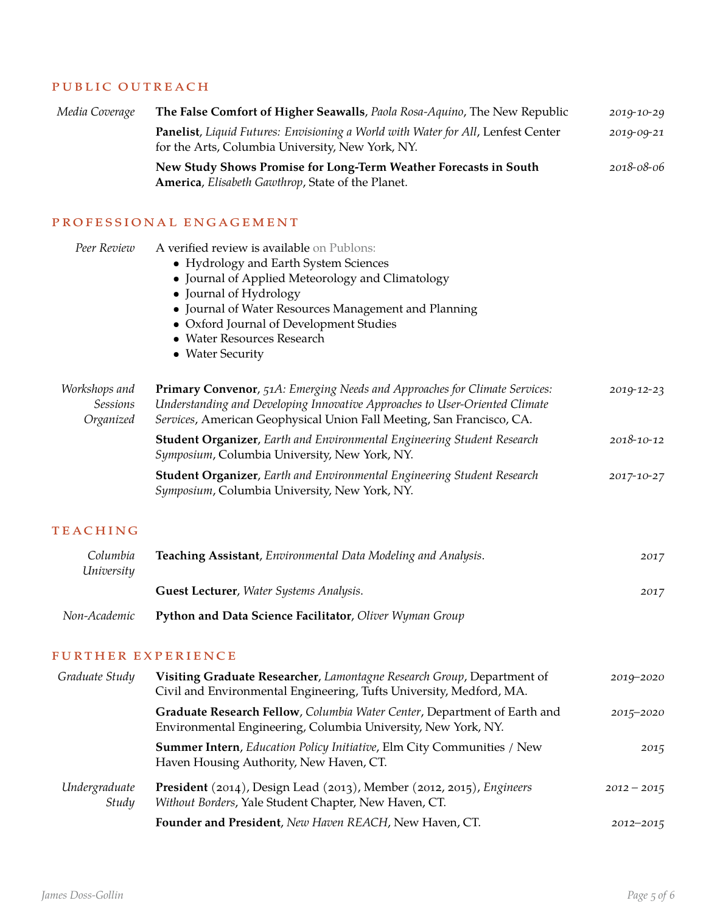#### PUBLIC OUTREACH

| Media Coverage                                | The False Comfort of Higher Seawalls, Paola Rosa-Aquino, The New Republic                                                                                                                                                                                                                                              | 2019-10-29    |
|-----------------------------------------------|------------------------------------------------------------------------------------------------------------------------------------------------------------------------------------------------------------------------------------------------------------------------------------------------------------------------|---------------|
|                                               | Panelist, Liquid Futures: Envisioning a World with Water for All, Lenfest Center<br>for the Arts, Columbia University, New York, NY.                                                                                                                                                                                   | 2019-09-21    |
|                                               | New Study Shows Promise for Long-Term Weather Forecasts in South<br>America, Elisabeth Gawthrop, State of the Planet.                                                                                                                                                                                                  | 2018-08-06    |
|                                               | PROFESSIONAL ENGAGEMENT                                                                                                                                                                                                                                                                                                |               |
| Peer Review                                   | A verified review is available on Publons:<br>• Hydrology and Earth System Sciences<br>• Journal of Applied Meteorology and Climatology<br>• Journal of Hydrology<br>• Journal of Water Resources Management and Planning<br>• Oxford Journal of Development Studies<br>• Water Resources Research<br>• Water Security |               |
| Workshops and<br><b>Sessions</b><br>Organized | Primary Convenor, 51A: Emerging Needs and Approaches for Climate Services:<br>Understanding and Developing Innovative Approaches to User-Oriented Climate<br>Services, American Geophysical Union Fall Meeting, San Francisco, CA.                                                                                     | 2019-12-23    |
|                                               | Student Organizer, Earth and Environmental Engineering Student Research<br>Symposium, Columbia University, New York, NY.                                                                                                                                                                                               | 2018-10-12    |
|                                               | <b>Student Organizer</b> , Earth and Environmental Engineering Student Research<br>Symposium, Columbia University, New York, NY.                                                                                                                                                                                       | 2017-10-27    |
| <b>TEACHING</b>                               |                                                                                                                                                                                                                                                                                                                        |               |
| Columbia<br>University                        | Teaching Assistant, Environmental Data Modeling and Analysis.                                                                                                                                                                                                                                                          | 2017          |
|                                               | Guest Lecturer, Water Systems Analysis.                                                                                                                                                                                                                                                                                | 2017          |
| Non-Academic                                  | Python and Data Science Facilitator, Oliver Wyman Group                                                                                                                                                                                                                                                                |               |
| FURTHER EXPERIENCE                            |                                                                                                                                                                                                                                                                                                                        |               |
| Graduate Study                                | Visiting Graduate Researcher, Lamontagne Research Group, Department of<br>Civil and Environmental Engineering, Tufts University, Medford, MA.                                                                                                                                                                          | 2019-2020     |
|                                               | Graduate Research Fellow, Columbia Water Center, Department of Earth and<br>Environmental Engineering, Columbia University, New York, NY.                                                                                                                                                                              | $2015 - 2020$ |
|                                               | <b>Summer Intern</b> , Education Policy Initiative, Elm City Communities / New<br>Haven Housing Authority, New Haven, CT.                                                                                                                                                                                              | 2015          |
| Undergraduate<br>Study                        | President (2014), Design Lead (2013), Member (2012, 2015), Engineers<br>Without Borders, Yale Student Chapter, New Haven, CT.                                                                                                                                                                                          | $2012 - 2015$ |
|                                               | Founder and President, New Haven REACH, New Haven, CT.                                                                                                                                                                                                                                                                 | $2012 - 2015$ |